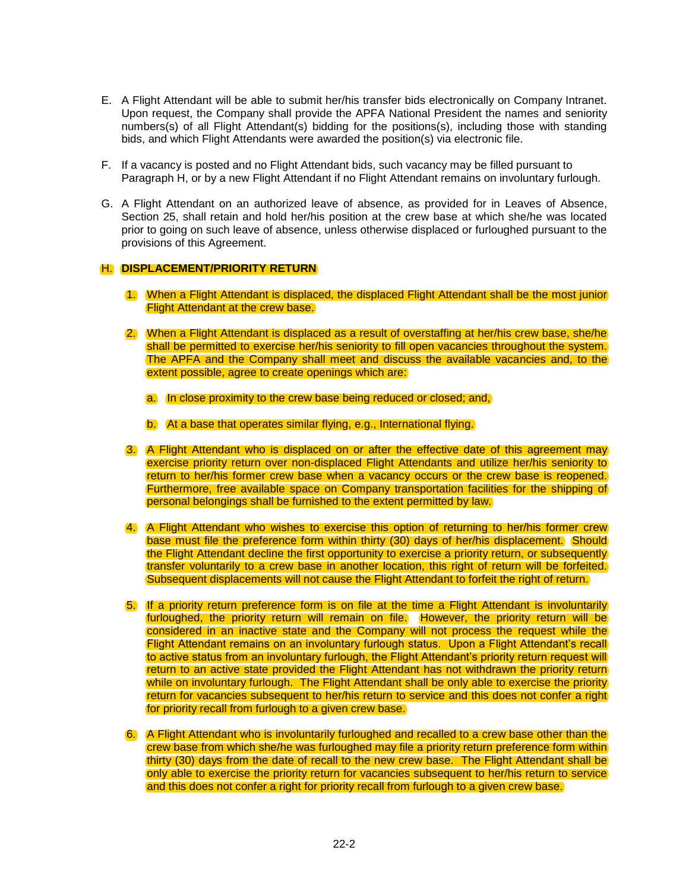- E. A Flight Attendant will be able to submit her/his transfer bids electronically on Company Intranet. Upon request, the Company shall provide the APFA National President the names and seniority numbers(s) of all Flight Attendant(s) bidding for the positions(s), including those with standing bids, and which Flight Attendants were awarded the position(s) via electronic file.
- F. If a vacancy is posted and no Flight Attendant bids, such vacancy may be filled pursuant to Paragraph H, or by a new Flight Attendant if no Flight Attendant remains on involuntary furlough.
- G. A Flight Attendant on an authorized leave of absence, as provided for in Leaves of Absence, Section 25, shall retain and hold her/his position at the crew base at which she/he was located prior to going on such leave of absence, unless otherwise displaced or furloughed pursuant to the provisions of this Agreement.

## H. **DISPLACEMENT/PRIORITY RETURN**

- 1. When a Flight Attendant is displaced, the displaced Flight Attendant shall be the most junior Flight Attendant at the crew base.
- 2. When a Flight Attendant is displaced as a result of overstaffing at her/his crew base, she/he shall be permitted to exercise her/his seniority to fill open vacancies throughout the system. The APFA and the Company shall meet and discuss the available vacancies and, to the extent possible, agree to create openings which are:
	- a. In close proximity to the crew base being reduced or closed; and,
	- b. At a base that operates similar flying, e.g., International flying.
- 3. A Flight Attendant who is displaced on or after the effective date of this agreement may exercise priority return over non-displaced Flight Attendants and utilize her/his seniority to return to her/his former crew base when a vacancy occurs or the crew base is reopened. Furthermore, free available space on Company transportation facilities for the shipping of personal belongings shall be furnished to the extent permitted by law.
- 4. A Flight Attendant who wishes to exercise this option of returning to her/his former crew base must file the preference form within thirty (30) days of her/his displacement. Should the Flight Attendant decline the first opportunity to exercise a priority return, or subsequently transfer voluntarily to a crew base in another location, this right of return will be forfeited. Subsequent displacements will not cause the Flight Attendant to forfeit the right of return.
- 5. If a priority return preference form is on file at the time a Flight Attendant is involuntarily furloughed, the priority return will remain on file. However, the priority return will be considered in an inactive state and the Company will not process the request while the Flight Attendant remains on an involuntary furlough status. Upon a Flight Attendant's recall to active status from an involuntary furlough, the Flight Attendant's priority return request will return to an active state provided the Flight Attendant has not withdrawn the priority return while on involuntary furlough. The Flight Attendant shall be only able to exercise the priority return for vacancies subsequent to her/his return to service and this does not confer a right for priority recall from furlough to a given crew base.
- 6. A Flight Attendant who is involuntarily furloughed and recalled to a crew base other than the crew base from which she/he was furloughed may file a priority return preference form within thirty (30) days from the date of recall to the new crew base. The Flight Attendant shall be only able to exercise the priority return for vacancies subsequent to her/his return to service and this does not confer a right for priority recall from furlough to a given crew base.